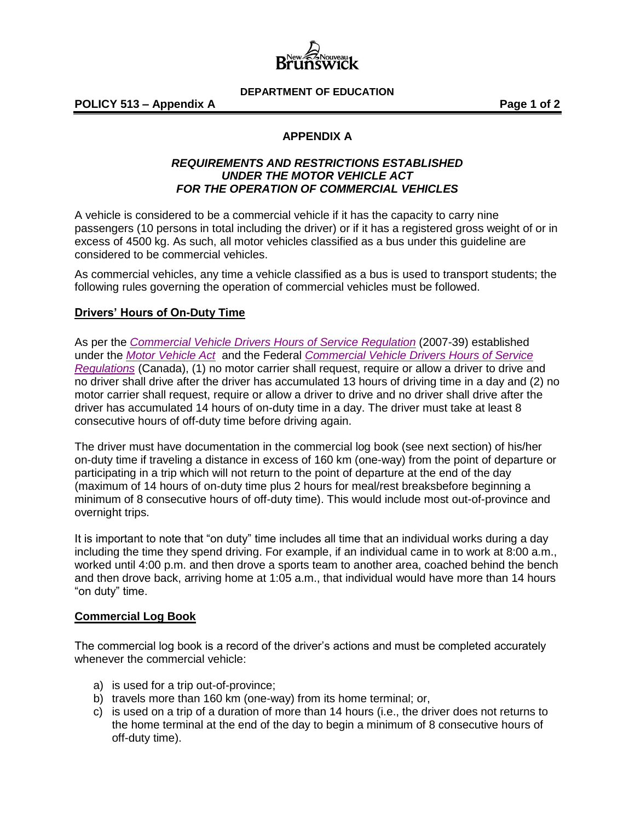

**DEPARTMENT OF EDUCATION**

**POLICY 513 – Appendix A Page 1 of 2**

# **APPENDIX A**

### *REQUIREMENTS AND RESTRICTIONS ESTABLISHED UNDER THE MOTOR VEHICLE ACT FOR THE OPERATION OF COMMERCIAL VEHICLES*

A vehicle is considered to be a commercial vehicle if it has the capacity to carry nine passengers (10 persons in total including the driver) or if it has a registered gross weight of or in excess of 4500 kg. As such, all motor vehicles classified as a bus under this guideline are considered to be commercial vehicles.

As commercial vehicles, any time a vehicle classified as a bus is used to transport students; the following rules governing the operation of commercial vehicles must be followed.

### **Drivers' Hours of On-Duty Time**

As per the *[Commercial Vehicle Drivers Hours of Service Regulation](http://laws.gnb.ca/en/ShowPdf/cr/2007-39.pdf)* (2007-39) established under the *[Motor Vehicle Act](http://laws.gnb.ca/en/ShowPdf/cs/M-17.pdf)* and the Federal *[Commercial Vehicle Drivers Hours of Service](http://lois-laws.justice.gc.ca/eng/regulations/SOR-2005-313/index.html)  [Regulations](http://lois-laws.justice.gc.ca/eng/regulations/SOR-2005-313/index.html)* (Canada), (1) no motor carrier shall request, require or allow a driver to drive and no driver shall drive after the driver has accumulated 13 hours of driving time in a day and (2) no motor carrier shall request, require or allow a driver to drive and no driver shall drive after the driver has accumulated 14 hours of on-duty time in a day. The driver must take at least 8 consecutive hours of off-duty time before driving again.

The driver must have documentation in the commercial log book (see next section) of his/her on-duty time if traveling a distance in excess of 160 km (one-way) from the point of departure or participating in a trip which will not return to the point of departure at the end of the day (maximum of 14 hours of on-duty time plus 2 hours for meal/rest breaksbefore beginning a minimum of 8 consecutive hours of off-duty time). This would include most out-of-province and overnight trips.

It is important to note that "on duty" time includes all time that an individual works during a day including the time they spend driving. For example, if an individual came in to work at 8:00 a.m., worked until 4:00 p.m. and then drove a sports team to another area, coached behind the bench and then drove back, arriving home at 1:05 a.m., that individual would have more than 14 hours "on duty" time.

### **Commercial Log Book**

The commercial log book is a record of the driver's actions and must be completed accurately whenever the commercial vehicle:

- a) is used for a trip out-of-province;
- b) travels more than 160 km (one-way) from its home terminal; or,
- c) is used on a trip of a duration of more than 14 hours (i.e., the driver does not returns to the home terminal at the end of the day to begin a minimum of 8 consecutive hours of off-duty time).